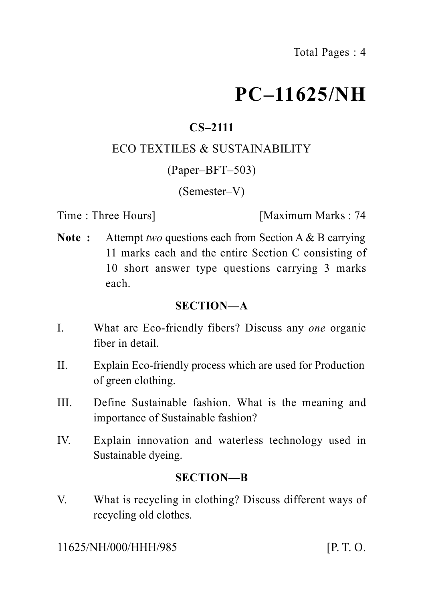# **PC–11625/NH**

# **CS–2111**

#### ECO TEXTILES & SUSTAINABILITY

(Paper–BFT–503)

(Semester–V)

Time : Three Hours **I** [Maximum Marks : 74]

**Note :** Attempt *two* questions each from Section A & B carrying 11 marks each and the entire Section C consisting of 10 short answer type questions carrying 3 marks each.

#### **SECTION—A**

- I. What are Eco-friendly fibers? Discuss any *one* organic fiber in detail.
- II. Explain Eco-friendly process which are used for Production of green clothing.
- III. Define Sustainable fashion. What is the meaning and importance of Sustainable fashion?
- IV. Explain innovation and waterless technology used in Sustainable dyeing.

#### **SECTION—B**

V. What is recycling in clothing? Discuss different ways of recycling old clothes.

11625/NH/000/HHH/985 [P. T. O.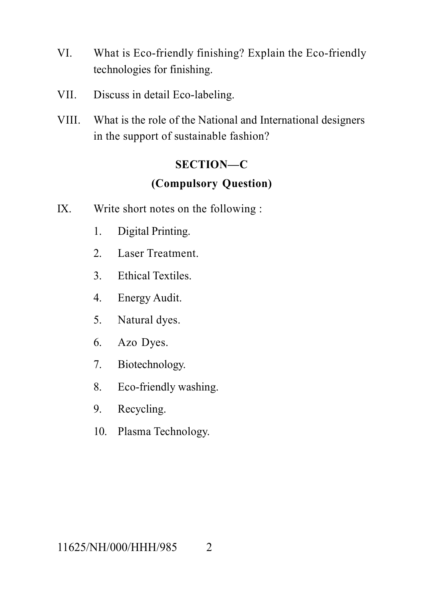- VI. What is Eco-friendly finishing? Explain the Eco-friendly technologies for finishing.
- VII. Discuss in detail Eco-labeling.
- VIII. What is the role of the National and International designers in the support of sustainable fashion?

### **SECTION—C**

## **(Compulsory Question)**

- IX. Write short notes on the following :
	- 1. Digital Printing.
	- 2. Laser Treatment.
	- 3. Ethical Textiles.
	- 4. Energy Audit.
	- 5. Natural dyes.
	- 6. Azo Dyes.
	- 7. Biotechnology.
	- 8. Eco-friendly washing.
	- 9. Recycling.
	- 10. Plasma Technology.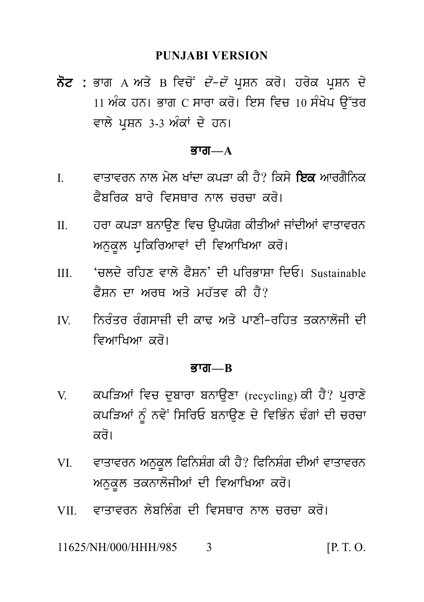#### **PUNJABI VERSION**

PUNJABI VERSION<br>ਨੋਟ : ਭਾਗ A ਅਤੇ B ਵਿਚੋਂ *ਦੋ–ਦੋ* ਪ੍ਰਸ਼ਨ ਕਰੋ। ਹਰੇਕ ਪ੍ਰਸ਼ਨ ਦੇ<br>11 ਅੰਕ ਹਨ। ਭਾਗ C ਸਾਰਾ ਕਰੋ। ਇਸ ਵਿਚ 10 ਸੰਖੇਪ ਉੱਤਰ<br>ਵਾਲੇ ਪੁਸ਼ਨ 3-3 ਅੰਕਾਂ ਦੇ ਹਨ। PUNJABI VERSION<br>ਭਾਗ A ਅਤੇ B ਵਿਚੋਂ *ਦੋ–ਦੋ* ਪ੍ਰਸ਼ਨ ਕਰੋ। ਹਰੇਕ ਪ੍ਰਸ਼ਨ ਦੇ<br>11 ਅੰਕ ਹਨ। ਭਾਗ C ਸਾਰਾ ਕਰੋ। ਇਸ ਵਿਚ 10 ਸੰਖੇਪ ਉੱਤਰ<br>ਵਾਲੇ ਪ੍ਰਸ਼ਨ 3-3 ਅੰਕਾਂ ਦੇ ਹਨ। **ਨੋਟ :** ਭਾਗ A ਅਤੇ B ਵਿਚੋਂ *ਦੋ–ਦੋ* ਪ੍ਰਸ਼ਨ ਕਰੋ। ਹਰੇਕ ਪ੍ਰਸ਼ਨ ਦੇ<br>11 ਅੰਕ ਹਨ। ਭਾਗ C ਸਾਰਾ ਕਰੋ। ਇਸ ਵਿਚ 10 ਸੰਖੇਪ ਉੱਤਰ<br>ਵਾਲੇ ਪਸ਼ਨ 3-3 ਅੰਕਾਂ ਦੇ ਹਨ।

#### $\overline{g}$ *rar*— $\overline{A}$

- ਵਾਲੇ ਪ੍ਰਸ਼ਨ 3-3 ਅੰਕਾਂ ਦੇ ਹਨ।<br>**ਭਾਗ—A<br>I. ਵਾਤਾਵਰਨ ਨਾਲ ਮੇਲ ਖਾਂਦਾ ਕਪੜਾ ਕੀ ਹੈ? ਕਿਸੇ ਇਕ** ਆਰਗੈਨਿਕ<br>ਫੈਬਰਿਕ ਬਾਰੇ ਵਿਸਥਾਰ ਨਾਲ ਚਰਚਾ ਕਰੋ।<br>– ਭਾਗ—A<br>ਵਾਤਾਵਰਨ ਨਾਲ ਮੇਲ ਖਾਂਦਾ ਕਪੜਾ ਕੀ ਹੈ? ਕਿਸੇ **ਇਕ** ਆਰਗੈਨਿਕ<br>ਫੈਬਰਿਕ ਬਾਰੇ ਵਿਸਥਾਰ ਨਾਲ ਚਰਚਾ ਕਰੋ।<br>ਹਰਾ ਕਪੜਾ ਬਨਾਉਣ ਵਿਚ ਉਪਯੋਗ ਕੀਤੀਆਂ ਜਾਂਦੀਆਂ ਵਾਤਾਵਰਨ
- I. ਵਾਤਾਵਰਨ ਨਾਲ ਮੇਲ ਖਾਂਦਾ ਕਪੜਾ ਕੀ ਹੈ? ਕਿਸੇ **ਇਕ** ਆਰਗੈਨਿਕ<br>ਫੈਬਰਿਕ ਬਾਰੇ ਵਿਸਥਾਰ ਨਾਲ ਚਰਚਾ ਕਰੋ।<br>II. ਹਰਾ ਕਪੜਾ ਬਨਾਉਣ ਵਿਚ ਉਪਯੋਗ ਕੀਤੀਆਂ ਜਾਂਦੀਆਂ ਵਾਤਾਵਰਨ<br>ਅਨੁਕੂਲ ਪ੍ਰਕਿਰਿਆਵਾਂ ਦੀ ਵਿਆਖਿਆ ਕਰੋ। ਦਤਦੁਕਸ਼ਨਸ਼ਨਸ਼ਨ ਵਾਣ ਕਜ਼ਵ ਯਾਤ : ਜ਼ਿਸ ਦਿਕ ਸਾਫ਼ਜ਼ਸ਼ਨ<br>ਫੈਬਰਿਕ ਬਾਰੇ ਵਿਸਥਾਰ ਨਾਲ ਚਰਚਾ ਕਰੋ।<br>ਅਨੁਕੂਲ ਪ੍ਰਕਿਰਿਆਵਾਂ ਦੀ ਵਿਆਖਿਆ ਕਰੋ।<br>'ਚਲਦੇ ਰਹਿਣ ਵਾਲੇ ਫੈਸ਼ਨ' ਦੀ ਪਰਿਭਾਸ਼ਾ ਦਿਓ। Sustainable<br>'ਚਲਦੇ ਰਹਿਣ ਵਾਲੇ ਫੈਸ਼ਨ' ਦੀ ਪਰਿਭਾਸ਼ਾ ਦਿਓ। Sustainable
- II. ਹਰਾ ਕਪੜਾ ਬਨਾਉਣ ਵਿਚ ਉਪਯੋਗ ਕੀਤੀਆਂ ਜਾਂਦੀਆਂ ਵਾਤਾਵਰਨ<br>ਅਨੁਕੂਲ ਪ੍ਰਕਿਰਿਆਵਾਂ ਦੀ ਵਿਆਖਿਆ ਕਰੋ।<br>III. 'ਚਲਦੇ ਰਹਿਣ ਵਾਲੇ ਫੈਸ਼ਨ' ਦੀ ਪਰਿਭਾਸ਼ਾ ਦਿਓ। Sustainable<br>ਫੈਸ਼ਨ ਦਾ ਅਰਥ ਅਤੇ ਮਹੱਤਵ ਕੀ ਹੈ? ਝੁਤ ਕੁਪੜ ਕਲਾਉਣ ਵਿੱਚ ਭੂਸਰਰ ਯੂਤਾਜ ਜਾਂਦਾਜ ਵਿੱਤ ਵਰਨ<br>ਅਨੁਕੂਲ ਪ੍ਰਕਿਰਿਆਵਾਂ ਦੀ ਵਿਆਖਿਆ ਕਰੋ।<br>'ਚਲਦੇ ਰਹਿਣ ਵਾਲੇ ਫੈਸ਼ਨ' ਦੀ ਪਰਿਭਾਸ਼ਾ ਦਿਓ। Sustainable<br>ਫੈਸ਼ਨ ਦਾ ਅਰਥ ਅਤੇ ਮਹੱਤਵ ਕੀ ਹੈ?<br>ਨਿਰੰਤਰ ਰੰਗਸਾਜ਼ੀ ਦੀ ਕਾਢ ਅਤੇ ਪਾਣੀ-ਰਹਿਤ ਤਕਨਾਲੋਜੀ ਦੀ
- III. 'ਚਲਦੇ ਰਹਿਣ ਵਾਲੇ ਫੈਸ਼ਨ' ਦੀ ਪਰਿਭਾਸ਼ਾ ਦਿਓ। Sustainable<br>ਫੈਸ਼ਨ ਦਾ ਅਰਥ ਅਤੇ ਮਹੱਤਵ ਕੀ ਹੈ?<br>IV. ਨਿਰੰਤਰ ਰੰਗਸਾਜ਼ੀ ਦੀ ਕਾਢ ਅਤੇ ਪਾਣੀ-ਰਹਿਤ ਤਕਨਾਲੋਜੀ ਦੀ<br>ਵਿਆਖਿਆ ਕਰੋ। ੱਲਣ ਗੱਤਣ ਦੇਲ ਫੈਸ਼ਲਾ ਦਾ ਜਾਂਤਤ ਸ਼ਾ<br>ਫੈਸ਼ਨ ਦਾ ਅਰਥ ਅਤੇ ਮਹੱਤਵ ਕੀ ਹੈ?<br>ਨਿਰੰਤਰ ਰੰਗਸਾਜ਼ੀ ਦੀ ਕਾਢ ਅਤੇ ਪਾਣੀ-ਜ<br>ਵਿਆਖਿਆ ਕਰੋ।<br>ਭਾਗ—B

#### <u>ਭਾਗ—B</u>

- ਵਿਆਖਿਆ ਕਰੋ।<br>ਭਾਗ—B<br>V. ਕਪੜਿਆਂ ਵਿਚ ਦੁਬਾਰਾ ਬਨਾਉਣਾ (recycling) ਕੀ ਹੈ? ਪੁਰਾਣੇ<br>ਕਪੜਿਆਂ ਨੂੰ ਨਵੇਂ ਸਿਰਿਓ ਬਨਾਉਣ ਦੇ ਵਿਭਿੰਨ ਢੰਗਾਂ ਦੀ ਚਰਚਾ<br>ਕਰੋ। **ਭਾਗ—B<br>ਕਪੜਿਆਂ ਵਿਚ ਦੁਬਾਰਾ ਬਨਾਉਣਾ** (recycling) ਕੀ ਹੈ? ਪੁਰਾਣੇ<br>ਕਪੜਿਆਂ ਨੂੰ ਨਵੇਂ ਸਿਰਿਓ ਬਨਾਉਣ ਦੇ ਵਿਭਿੰਨ ਢੰਗਾਂ ਦੀ ਚਰਚਾ<br>ਕਰੋ। ਕਪੜਿਆਂ ਵਿਚ ਦੁਬਾਰਾ ਬਨਾ<br>ਕਪੜਿਆਂ ਨੂੰ ਨਵੇਂ ਸਿਰਿਓ ਬ<br>ਕਰੋ।<br>ਵਾਤਾਵਰਨ ਅਨੁਕੂਲ ਫਿਨਿਸ਼ੰਗ VI. vwqwvrn An uk Ul iPinS Mg kI h Y? iPinS Mg dIAW vwqwvrn
- ਵਾਤਾਵਰਨ ਅਨੁਕੁਲ ਫਿਨਿਸ਼ੰਗ ਕੀ ਹੈ? ਫਿਨਿਸ਼ੰਗ ਦੀਆਂ ਵਾਤਾਵਰਨ VI. ਵਾਤਾਵਰਨ ਅਨੁਕੂਲ ਫਿਨਿਸ਼ੰਗ ਕੀ ਹੈ? ਫਿਨਿਸ਼ੰਗ ਦੀਆਂ ਵਾਤਾਵਰਨ<br>ਅਨੁਕੂਲ ਤਕਨਾਲੋਜੀਆਂ ਦੀ ਵਿਆਖਿਆ ਕਰੋ।<br>VII. ਵਾਤਾਵਰਨ ਲੇਬਲਿੰਗ ਦੀ ਵਿਸਥਾਰ ਨਾਲ ਚਰਚਾ ਕਰੋ।<br>11625/NH/000/HHH/985 3 [P.T.O.
- 

11625/NH/000/HHH/985 3 [P. T. O.